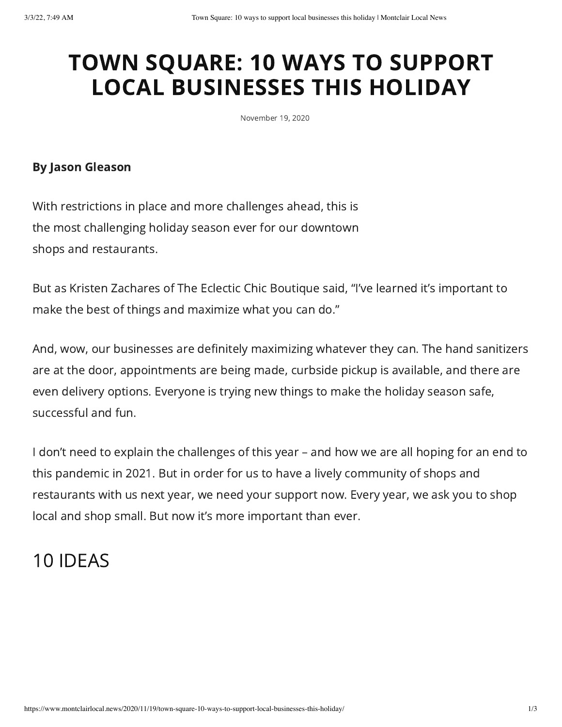## TOWN SQUARE: 10 WAYS TO SUPPORT LOCAL BUSINESSES THIS HOLIDAY

November 19, 2020

## By Jason Gleason

With restrictions in place and more challenges ahead, this is the most challenging holiday season ever for our downtown shops and restaurants.

But as Kristen Zachares of The Eclectic Chic Boutique said, "I've learned it's important to make the best of things and maximize what you can do."

And, wow, our businesses are definitely maximizing whatever they can. The hand sanitizers are at the door, appointments are being made, curbside pickup is available, and there are even delivery options. Everyone is trying new things to make the holiday season safe, successful and fun.

I don't need to explain the challenges of this year – and how we are all hoping for an end to this pandemic in 2021. But in order for us to have a lively community of shops and restaurants with us next year, we need your support now. Every year, we ask you to shop local and shop small. But now it's more important than ever.

## 10 IDEAS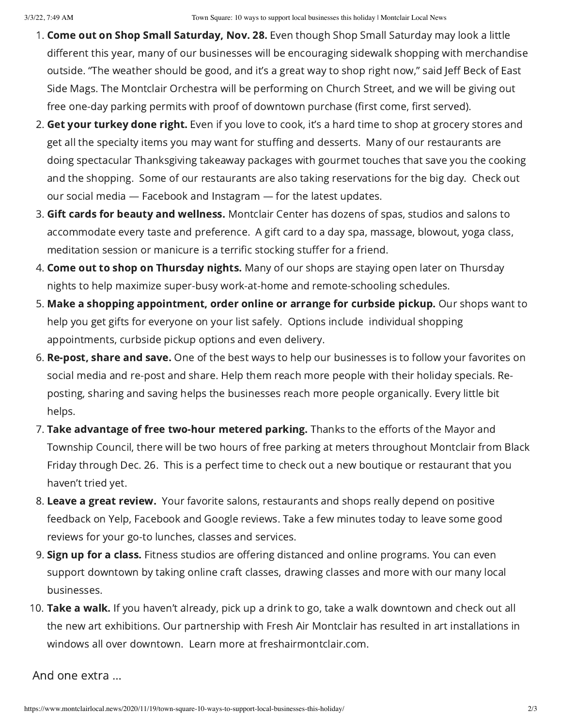- 1. Come out on Shop Small Saturday, Nov. 28. Even though Shop Small Saturday may look a little different this year, many of our businesses will be encouraging sidewalk shopping with merchandise outside. "The weather should be good, and it's a great way to shop right now," said Jeff Beck of East Side Mags. The Montclair Orchestra will be performing on Church Street, and we will be giving out free one-day parking permits with proof of downtown purchase (first come, first served).
- 2. Get your turkey done right. Even if you love to cook, it's a hard time to shop at grocery stores and get all the specialty items you may want for stuffing and desserts. Many of our restaurants are doing spectacular Thanksgiving takeaway packages with gourmet touches that save you the cooking and the shopping. Some of our restaurants are also taking reservations for the big day. Check out our social media — Facebook and Instagram — for the latest updates.
- 3. Gift cards for beauty and wellness. Montclair Center has dozens of spas, studios and salons to accommodate every taste and preference. A gift card to a day spa, massage, blowout, yoga class, meditation session or manicure is a terrific stocking stuffer for a friend.
- 4. Come out to shop on Thursday nights. Many of our shops are staying open later on Thursday nights to help maximize super-busy work-at-home and remote-schooling schedules.
- 5. Make a shopping appointment, order online or arrange for curbside pickup. Our shops want to help you get gifts for everyone on your list safely. Options include individual shopping appointments, curbside pickup options and even delivery.
- 6. Re-post, share and save. One of the best ways to help our businesses is to follow your favorites on social media and re-post and share. Help them reach more people with their holiday specials. Reposting, sharing and saving helps the businesses reach more people organically. Every little bit helps.
- 7. Take advantage of free two-hour metered parking. Thanks to the efforts of the Mayor and Township Council, there will be two hours of free parking at meters throughout Montclair from Black Friday through Dec. 26. This is a perfect time to check out a new boutique or restaurant that you haven't tried yet.
- 8. Leave a great review. Your favorite salons, restaurants and shops really depend on positive feedback on Yelp, Facebook and Google reviews. Take a few minutes today to leave some good reviews for your go-to lunches, classes and services.
- 9. Sign up for a class. Fitness studios are offering distanced and online programs. You can even support downtown by taking online craft classes, drawing classes and more with our many local businesses.
- 10. Take a walk. If you haven't already, pick up a drink to go, take a walk downtown and check out all the new art exhibitions. Our partnership with Fresh Air Montclair has resulted in art installations in windows all over downtown. Learn more at freshairmontclair.com.

And one extra …